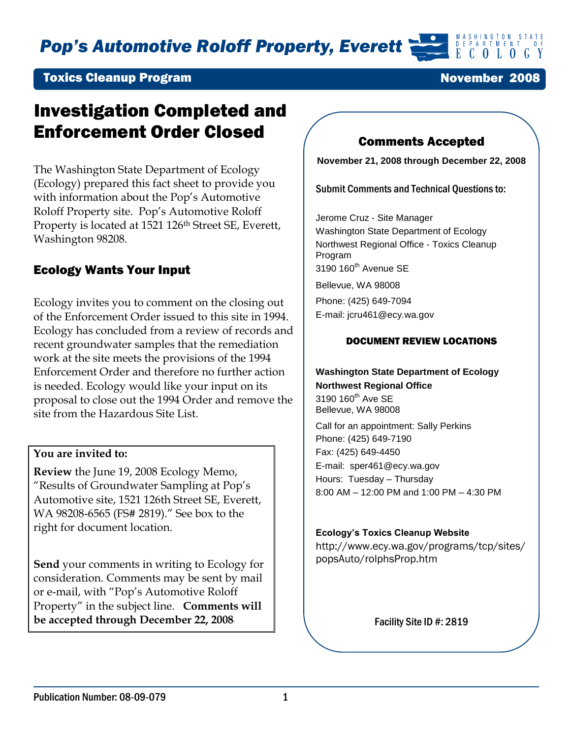*Pop's Automotive Roloff Property, Everett*

### Toxics Cleanup Program

# Investigation Completed and Enforcement Order Closed

The Washington State Department of Ecology (Ecology) prepared this fact sheet to provide you with information about the Pop's Automotive Roloff Property site. Pop's Automotive Roloff Property is located at 1521 126<sup>th</sup> Street SE, Everett, Washington 98208.

### Ecology Wants Your Input

Ecology invites you to comment on the closing out of the Enforcement Order issued to this site in 1994. Ecology has concluded from a review of records and recent groundwater samples that the remediation work at the site meets the provisions of the 1994 Enforcement Order and therefore no further action is needed. Ecology would like your input on its proposal to close out the 1994 Order and remove the site from the Hazardous Site List.

### **You are invited to:**

**Review** the June 19, 2008 Ecology Memo, "Results of Groundwater Sampling at Pop's Automotive site, 1521 126th Street SE, Everett, WA 98208-6565 (FS# 2819)." See box to the right for document location.

**Send** your comments in writing to Ecology for consideration. Comments may be sent by mail or e-mail, with "Pop's Automotive Roloff Property" in the subject line. **Comments will be accepted through December 22, 2008**.

### Comments Accepted

**November 21, 2008 through December 22, 2008**

Submit Comments and Technical Questions to:

Jerome Cruz - Site Manager Washington State Department of Ecology Northwest Regional Office - Toxics Cleanup Program 3190 160<sup>th</sup> Avenue SE Bellevue, WA 98008 Phone: (425) 649-7094 E-mail: jcru461@ecy.wa.gov

#### DOCUMENT REVIEW LOCATIONS

#### **Washington State Department of Ecology Northwest Regional Office**

3190 160<sup>th</sup> Ave SE Bellevue, WA 98008

Call for an appointment: Sally Perkins Phone: (425) 649-7190 Fax: (425) 649-4450 E-mail: [sper461@ecy.wa.gov](mailto:sper461@ecy.wa.gov) Hours: Tuesday – Thursday 8:00 AM – 12:00 PM and 1:00 PM – 4:30 PM

#### **Ecology's Toxics Cleanup Website**

http://www.ecy.wa.gov/programs/tcp/sites/ popsAuto/rolphsProp.htm

Facility Site ID #: 2819

November 2008

 $\begin{array}{ccccc}\n & \mathbf{D} & \mathbf{E} & \mathbf{P} & \mathbf{A} & \mathbf{R} & \mathbf{T} & \mathbf{M} & \mathbf{E} & \mathbf{M} & \mathbf{T} \\
& \mathbf{E} & \mathbf{C} & \mathbf{O} & \mathbf{L} & \mathbf{O} & \mathbf{O} & \mathbf{G}\n\end{array}$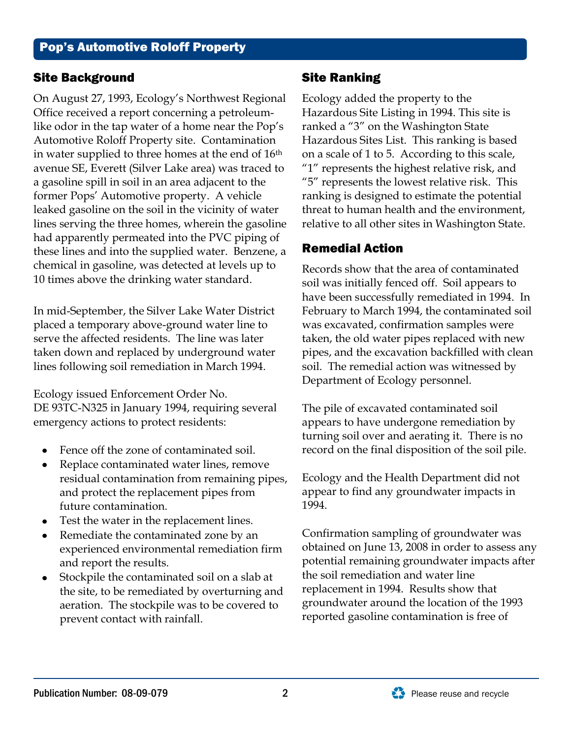## Site Background

On August 27, 1993, Ecology's Northwest Regional Office received a report concerning a petroleumlike odor in the tap water of a home near the Pop's Automotive Roloff Property site. Contamination in water supplied to three homes at the end of 16th avenue SE, Everett (Silver Lake area) was traced to a gasoline spill in soil in an area adjacent to the former Pops' Automotive property. A vehicle leaked gasoline on the soil in the vicinity of water lines serving the three homes, wherein the gasoline had apparently permeated into the PVC piping of these lines and into the supplied water. Benzene, a chemical in gasoline, was detected at levels up to 10 times above the drinking water standard.

In mid-September, the Silver Lake Water District placed a temporary above-ground water line to serve the affected residents. The line was later taken down and replaced by underground water lines following soil remediation in March 1994.

Ecology issued Enforcement Order No. DE 93TC-N325 in January 1994, requiring several emergency actions to protect residents:

- Fence off the zone of contaminated soil.
- Replace contaminated water lines, remove residual contamination from remaining pipes, and protect the replacement pipes from future contamination.
- Test the water in the replacement lines.
- Remediate the contaminated zone by an  $\bullet$ experienced environmental remediation firm and report the results.
- Stockpile the contaminated soil on a slab at  $\bullet$ the site, to be remediated by overturning and aeration. The stockpile was to be covered to prevent contact with rainfall.

# Site Ranking

Ecology added the property to the Hazardous Site Listing in 1994. This site is ranked a "3" on the Washington State Hazardous Sites List. This ranking is based on a scale of 1 to 5. According to this scale, "1" represents the highest relative risk, and "5" represents the lowest relative risk. This ranking is designed to estimate the potential threat to human health and the environment, relative to all other sites in Washington State.

# Remedial Action

Records show that the area of contaminated soil was initially fenced off. Soil appears to have been successfully remediated in 1994. In February to March 1994, the contaminated soil was excavated, confirmation samples were taken, the old water pipes replaced with new pipes, and the excavation backfilled with clean soil. The remedial action was witnessed by Department of Ecology personnel.

The pile of excavated contaminated soil appears to have undergone remediation by turning soil over and aerating it. There is no record on the final disposition of the soil pile.

Ecology and the Health Department did not appear to find any groundwater impacts in 1994.

Confirmation sampling of groundwater was obtained on June 13, 2008 in order to assess any potential remaining groundwater impacts after the soil remediation and water line replacement in 1994. Results show that groundwater around the location of the 1993 reported gasoline contamination is free of

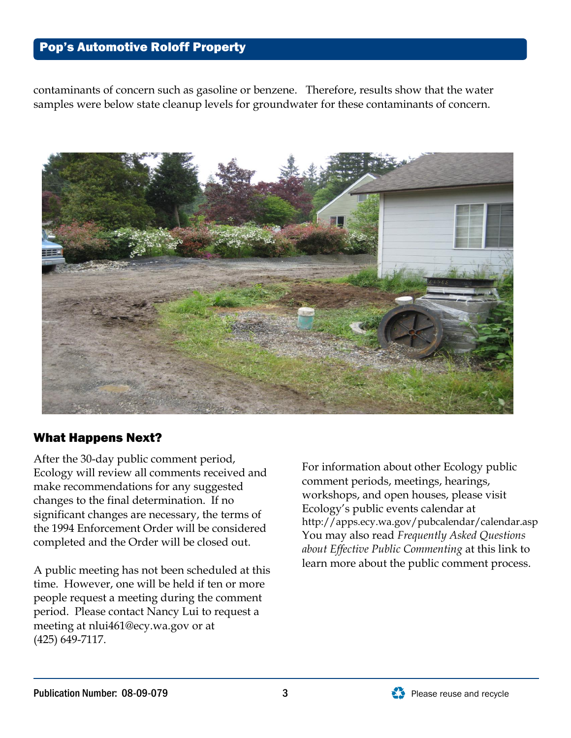# Pop's Automotive Roloff Property

contaminants of concern such as gasoline or benzene. Therefore, results show that the water samples were below state cleanup levels for groundwater for these contaminants of concern.



## What Happens Next?

After the 30-day public comment period, Ecology will review all comments received and make recommendations for any suggested changes to the final determination. If no significant changes are necessary, the terms of the 1994 Enforcement Order will be considered completed and the Order will be closed out.

A public meeting has not been scheduled at this time. However, one will be held if ten or more people request a meeting during the comment period. Please contact Nancy Lui to request a meeting at [nlui461@ecy.wa.gov](mailto:nlui461@ecy.wa.gov) or at (425) 649-7117.

For information about other Ecology public comment periods, meetings, hearings, workshops, and open houses, please visit Ecology's public events calendar at http://apps.ecy.wa.gov/pubcalendar/calendar.asp You may also read *Frequently Asked Questions about Effective Public Commenting* at this link to learn more about the public comment process.